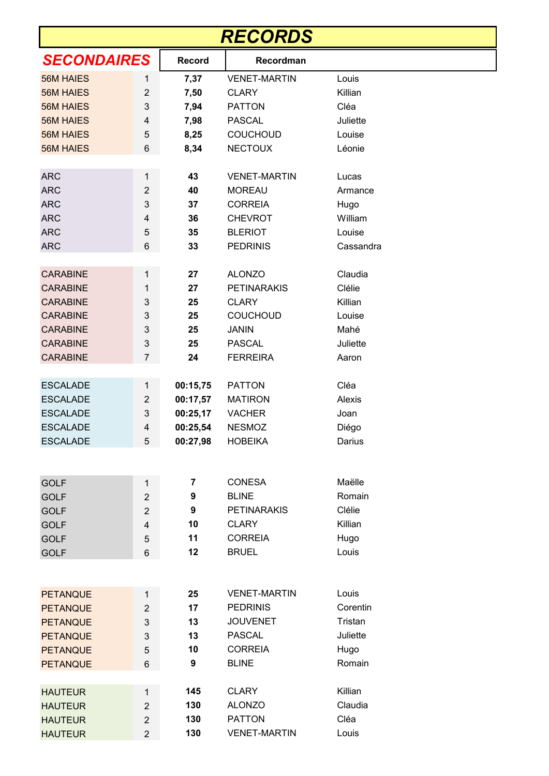| <b>RECORDS</b>     |                |               |                     |           |  |  |  |  |
|--------------------|----------------|---------------|---------------------|-----------|--|--|--|--|
| <b>SECONDAIRES</b> |                | <b>Record</b> | Recordman           |           |  |  |  |  |
| <b>56M HAIES</b>   | 1              | 7,37          | <b>VENET-MARTIN</b> | Louis     |  |  |  |  |
| <b>56M HAIES</b>   | $\overline{2}$ | 7,50          | <b>CLARY</b>        | Killian   |  |  |  |  |
| <b>56M HAIES</b>   | 3              | 7,94          | <b>PATTON</b>       | Cléa      |  |  |  |  |
| <b>56M HAIES</b>   | 4              | 7,98          | <b>PASCAL</b>       | Juliette  |  |  |  |  |
| <b>56M HAIES</b>   | 5              | 8,25          | <b>COUCHOUD</b>     | Louise    |  |  |  |  |
| <b>56M HAIES</b>   | 6              | 8,34          | <b>NECTOUX</b>      | Léonie    |  |  |  |  |
| <b>ARC</b>         | 1              | 43            | <b>VENET-MARTIN</b> | Lucas     |  |  |  |  |
| <b>ARC</b>         | $\overline{2}$ | 40            | <b>MOREAU</b>       | Armance   |  |  |  |  |
| <b>ARC</b>         | 3              | 37            | <b>CORREIA</b>      | Hugo      |  |  |  |  |
| <b>ARC</b>         | 4              | 36            | <b>CHEVROT</b>      | William   |  |  |  |  |
| <b>ARC</b>         | 5              | 35            | <b>BLERIOT</b>      | Louise    |  |  |  |  |
| <b>ARC</b>         | 6              | 33            | <b>PEDRINIS</b>     | Cassandra |  |  |  |  |
| <b>CARABINE</b>    | 1              | 27            | <b>ALONZO</b>       | Claudia   |  |  |  |  |
| <b>CARABINE</b>    | 1              | 27            | <b>PETINARAKIS</b>  | Clélie    |  |  |  |  |
| <b>CARABINE</b>    | 3              | 25            | <b>CLARY</b>        | Killian   |  |  |  |  |
| <b>CARABINE</b>    | 3              | 25            | <b>COUCHOUD</b>     | Louise    |  |  |  |  |
| <b>CARABINE</b>    | 3              | 25            | <b>JANIN</b>        | Mahé      |  |  |  |  |
| <b>CARABINE</b>    | 3              | 25            | <b>PASCAL</b>       | Juliette  |  |  |  |  |
| <b>CARABINE</b>    | $\overline{7}$ | 24            | <b>FERREIRA</b>     | Aaron     |  |  |  |  |
|                    |                |               |                     |           |  |  |  |  |
| <b>ESCALADE</b>    | 1              | 00:15,75      | <b>PATTON</b>       | Cléa      |  |  |  |  |
| <b>ESCALADE</b>    | $\overline{2}$ | 00:17,57      | <b>MATIRON</b>      | Alexis    |  |  |  |  |
| <b>ESCALADE</b>    | 3              | 00:25,17      | <b>VACHER</b>       | Joan      |  |  |  |  |
| <b>ESCALADE</b>    | 4              | 00:25,54      | <b>NESMOZ</b>       | Diégo     |  |  |  |  |
| <b>ESCALADE</b>    | 5              | 00:27,98      | <b>HOBEIKA</b>      | Darius    |  |  |  |  |
|                    |                |               |                     |           |  |  |  |  |
| <b>GOLF</b>        | $\mathbf{1}$   | 7             | <b>CONESA</b>       | Maëlle    |  |  |  |  |
| <b>GOLF</b>        | $\overline{2}$ | 9             | <b>BLINE</b>        | Romain    |  |  |  |  |
| <b>GOLF</b>        | $\overline{2}$ | 9             | <b>PETINARAKIS</b>  | Clélie    |  |  |  |  |
| <b>GOLF</b>        | $\overline{4}$ | 10            | <b>CLARY</b>        | Killian   |  |  |  |  |
| <b>GOLF</b>        | 5              | 11            | <b>CORREIA</b>      | Hugo      |  |  |  |  |
| <b>GOLF</b>        | 6              | 12            | <b>BRUEL</b>        | Louis     |  |  |  |  |
|                    |                |               |                     |           |  |  |  |  |
| <b>PETANQUE</b>    | 1              | 25            | <b>VENET-MARTIN</b> | Louis     |  |  |  |  |
| <b>PETANQUE</b>    | $\overline{2}$ | 17            | <b>PEDRINIS</b>     | Corentin  |  |  |  |  |
| <b>PETANQUE</b>    | 3              | 13            | <b>JOUVENET</b>     | Tristan   |  |  |  |  |
| <b>PETANQUE</b>    | 3              | 13            | <b>PASCAL</b>       | Juliette  |  |  |  |  |
| <b>PETANQUE</b>    | 5              | 10            | <b>CORREIA</b>      | Hugo      |  |  |  |  |
| <b>PETANQUE</b>    | 6              | 9             | <b>BLINE</b>        | Romain    |  |  |  |  |
| <b>HAUTEUR</b>     | 1              | 145           | <b>CLARY</b>        | Killian   |  |  |  |  |
| <b>HAUTEUR</b>     | $\overline{2}$ | 130           | <b>ALONZO</b>       | Claudia   |  |  |  |  |
| <b>HAUTEUR</b>     | $\overline{2}$ | 130           | <b>PATTON</b>       | Cléa      |  |  |  |  |
| <b>HAUTEUR</b>     | $\overline{2}$ | 130           | <b>VENET-MARTIN</b> | Louis     |  |  |  |  |
|                    |                |               |                     |           |  |  |  |  |